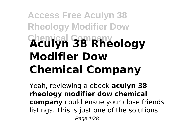# **Access Free Aculyn 38 Rheology Modifier Dow Chemical Company Aculyn 38 Rheology Modifier Dow Chemical Company**

Yeah, reviewing a ebook **aculyn 38 rheology modifier dow chemical company** could ensue your close friends listings. This is just one of the solutions Page 1/28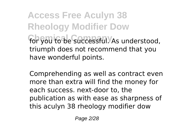**Access Free Aculyn 38 Rheology Modifier Dow For you to be successful.** As understood, triumph does not recommend that you have wonderful points.

Comprehending as well as contract even more than extra will find the money for each success. next-door to, the publication as with ease as sharpness of this aculyn 38 rheology modifier dow

Page 2/28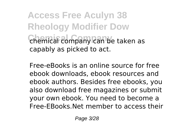**Access Free Aculyn 38 Rheology Modifier Dow Chemical company can be taken as** capably as picked to act.

Free-eBooks is an online source for free ebook downloads, ebook resources and ebook authors. Besides free ebooks, you also download free magazines or submit your own ebook. You need to become a Free-EBooks.Net member to access their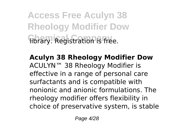**Access Free Aculyn 38 Rheology Modifier Dow Fibrary.** Registration is free.

**Aculyn 38 Rheology Modifier Dow** ACULYN™ 38 Rheology Modifier is effective in a range of personal care surfactants and is compatible with nonionic and anionic formulations. The rheology modifier offers flexibility in choice of preservative system, is stable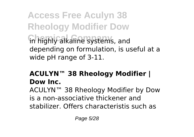**Access Free Aculyn 38 Rheology Modifier Dow Chemical Company** in highly alkaline systems, and depending on formulation, is useful at a wide pH range of 3-11.

#### **ACULYN™ 38 Rheology Modifier | Dow Inc.**

ACULYN™ 38 Rheology Modifier by Dow is a non-associative thickener and stabilizer. Offers characteristis such as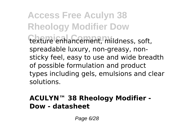**Access Free Aculyn 38 Rheology Modifier Dow Chemical Company** texture enhancement, mildness, soft, spreadable luxury, non-greasy, nonsticky feel, easy to use and wide breadth of possible formulation and product types including gels, emulsions and clear solutions.

#### **ACULYN™ 38 Rheology Modifier - Dow - datasheet**

Page 6/28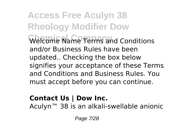**Access Free Aculyn 38 Rheology Modifier Dow Chemical Company** Welcome Name Terms and Conditions and/or Business Rules have been updated.. Checking the box below signifies your acceptance of these Terms and Conditions and Business Rules. You must accept before you can continue.

#### **Contact Us | Dow Inc.**

Aculyn™ 38 is an alkali-swellable anionic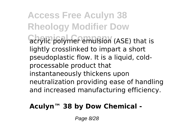**Access Free Aculyn 38 Rheology Modifier Dow Cachylic polymer emulsion (ASE) that is** lightly crosslinked to impart a short pseudoplastic flow. It is a liquid, coldprocessable product that instantaneously thickens upon neutralization providing ease of handling and increased manufacturing efficiency.

#### **Aculyn™ 38 by Dow Chemical -**

Page 8/28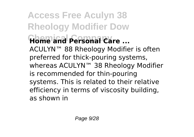**Access Free Aculyn 38 Rheology Modifier Dow Chemical Company Home and Personal Care ...** ACULYN™ 88 Rheology Modifier is often preferred for thick-pouring systems, whereas ACULYN™ 38 Rheology Modifier is recommended for thin-pouring systems. This is related to their relative efficiency in terms of viscosity building, as shown in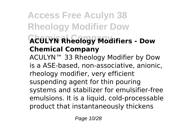### **Access Free Aculyn 38 Rheology Modifier Dow Chemical Company ACULYN Rheology Modifiers - Dow Chemical Company**

ACULYN™ 33 Rheology Modifier by Dow is a ASE-based, non-associative, anionic, rheology modifier, very efficient suspending agent for thin pouring systems and stabilizer for emulsifier-free emulsions. It is a liquid, cold-processable product that instantaneously thickens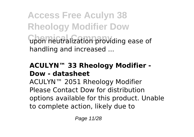**Access Free Aculyn 38 Rheology Modifier Dow Chemical Company** upon neutralization providing ease of handling and increased ...

#### **ACULYN™ 33 Rheology Modifier - Dow - datasheet**

ACULYN™ 2051 Rheology Modifier Please Contact Dow for distribution options available for this product. Unable to complete action, likely due to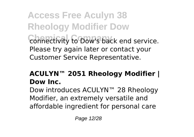**Access Free Aculyn 38 Rheology Modifier Dow Connectivity to Dow's back end service.** Please try again later or contact your Customer Service Representative.

#### **ACULYN™ 2051 Rheology Modifier | Dow Inc.**

Dow introduces ACULYN™ 28 Rheology Modifier, an extremely versatile and affordable ingredient for personal care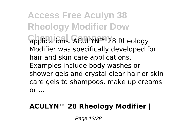**Access Free Aculyn 38 Rheology Modifier Dow Chemical Company** applications. ACULYN™ 28 Rheology Modifier was specifically developed for hair and skin care applications. Examples include body washes or shower gels and crystal clear hair or skin care gels to shampoos, make up creams or ...

#### **ACULYN™ 28 Rheology Modifier |**

Page 13/28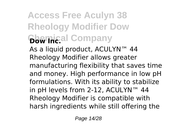### **Access Free Aculyn 38 Rheology Modifier Dow Chemical Company**

As a liquid product, ACULYN™ 44 Rheology Modifier allows greater manufacturing flexibility that saves time and money. High performance in low pH formulations. With its ability to stabilize in pH levels from 2-12, ACULYN™ 44 Rheology Modifier is compatible with harsh ingredients while still offering the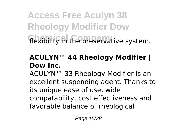**Access Free Aculyn 38 Rheology Modifier Dow** flexibility in the preservative system.

#### **ACULYN™ 44 Rheology Modifier | Dow Inc.**

ACULYN™ 33 Rheology Modifier is an excellent suspending agent. Thanks to its unique ease of use, wide compatability, cost effectiveness and favorable balance of rheological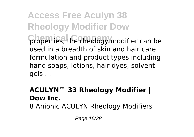**Access Free Aculyn 38 Rheology Modifier Dow Chemical Company** properties, the rheology modifier can be used in a breadth of skin and hair care formulation and product types including hand soaps, lotions, hair dyes, solvent gels ...

#### **ACULYN™ 33 Rheology Modifier | Dow Inc.**

8 Anionic ACULYN Rheology Modifiers

Page 16/28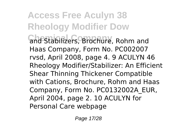**Access Free Aculyn 38 Rheology Modifier Dow Chemical Company** and Stabilizers, Brochure, Rohm and Haas Company, Form No. PC002007 rvsd, April 2008, page 4. 9 ACULYN 46 Rheology Modifier/Stabilizer: An Efficient Shear Thinning Thickener Compatible with Cations, Brochure, Rohm and Haas Company, Form No. PC0132002A\_EUR, April 2004, page 2. 10 ACULYN for Personal Care webpage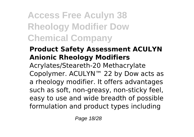**Access Free Aculyn 38 Rheology Modifier Dow Chemical Company**

#### **Product Safety Assessment ACULYN Anionic Rheology Modifiers**

Acrylates/Steareth-20 Methacrylate Copolymer. ACULYN™ 22 by Dow acts as a rheology modifier. It offers advantages such as soft, non-greasy, non-sticky feel, easy to use and wide breadth of possible formulation and product types including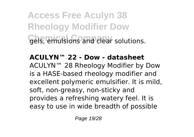**Access Free Aculyn 38 Rheology Modifier Dow** Gels, emulsions and clear solutions.

#### **ACULYN™ 22 - Dow - datasheet**

ACULYN™ 28 Rheology Modifier by Dow is a HASE-based rheology modifier and excellent polymeric emulsifier. It is mild, soft, non-greasy, non-sticky and provides a refreshing watery feel. It is easy to use in wide breadth of possible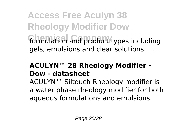**Access Free Aculyn 38 Rheology Modifier Dow** formulation and product types including gels, emulsions and clear solutions. ...

#### **ACULYN™ 28 Rheology Modifier - Dow - datasheet**

ACULYN™ Siltouch Rheology modifier is a water phase rheology modifier for both aqueous formulations and emulsions.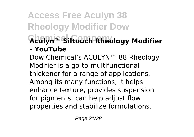### **Access Free Aculyn 38 Rheology Modifier Dow Chemical Company Aculyn™ Siltouch Rheology Modifier - YouTube**

Dow Chemical's ACULYN™ 88 Rheology Modifier is a go-to multifunctional thickener for a range of applications. Among its many functions, it helps enhance texture, provides suspension for pigments, can help adjust flow properties and stabilize formulations.

Page 21/28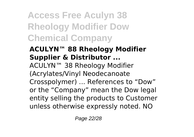**Access Free Aculyn 38 Rheology Modifier Dow Chemical Company**

#### **ACULYN™ 88 Rheology Modifier Supplier & Distributor ...**

ACULYN™ 38 Rheology Modifier (Acrylates/Vinyl Neodecanoate Crosspolymer) ... References to "Dow" or the "Company" mean the Dow legal entity selling the products to Customer unless otherwise expressly noted. NO

Page 22/28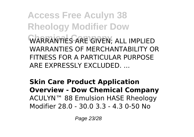**Access Free Aculyn 38 Rheology Modifier Dow Chemical Company** WARRANTIES ARE GIVEN; ALL IMPLIED WARRANTIES OF MERCHANTABILITY OR FITNESS FOR A PARTICULAR PURPOSE ARE EXPRESSLY EXCLUDED. ...

**Skin Care Product Application Overview - Dow Chemical Company** ACULYN™ 88 Emulsion HASE Rheology Modifier 28.0 - 30.0 3.3 - 4.3 0-50 No

Page 23/28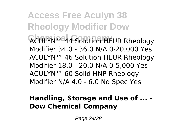**Access Free Aculyn 38 Rheology Modifier Dow Chemical Company** ACULYN™ 44 Solution HEUR Rheology Modifier 34.0 - 36.0 N/A 0-20,000 Yes ACULYN™ 46 Solution HEUR Rheology Modifier 18.0 - 20.0 N/A 0-5,000 Yes ACULYN™ 60 Solid HNP Rheology Modifier N/A 4.0 - 6.0 No Spec Yes

#### **Handling, Storage and Use of ... - Dow Chemical Company**

Page 24/28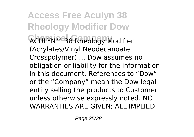**Access Free Aculyn 38 Rheology Modifier Dow Chemical Company** ACULYN™ 38 Rheology Modifier (Acrylates/Vinyl Neodecanoate Crosspolymer) ... Dow assumes no obligation or liability for the information in this document. References to "Dow" or the "Company" mean the Dow legal entity selling the products to Customer unless otherwise expressly noted. NO WARRANTIES ARE GIVEN; ALL IMPLIED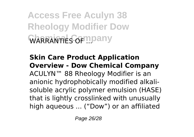**Access Free Aculyn 38 Rheology Modifier Dow WARRANTIES OF ...** 

**Skin Care Product Application Overview - Dow Chemical Company** ACULYN™ 88 Rheology Modifier is an anionic hydrophobically modified alkalisoluble acrylic polymer emulsion (HASE) that is lightly crosslinked with unusually high aqueous ... ("Dow") or an affiliated

Page 26/28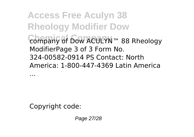**Access Free Aculyn 38 Rheology Modifier Dow Chemical Company** company of Dow ACULYN™ 88 Rheology ModifierPage 3 of 3 Form No. 324-00582-0914 PS Contact: North America: 1-800-447-4369 Latin America

...

Copyright code:

Page 27/28